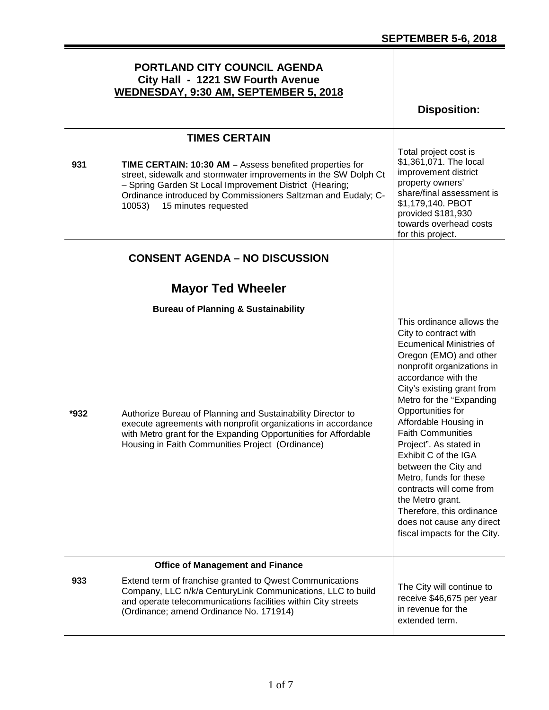#### **PORTLAND CITY COUNCIL AGENDA City Hall - 1221 SW Fourth Avenue WEDNESDAY, 9:30 AM, SEPTEMBER 5, 2018 Disposition: TIMES CERTAIN 931 TIME CERTAIN: 10:30 AM –** Assess benefited properties for street, sidewalk and stormwater improvements in the SW Dolph Ct – Spring Garden St Local Improvement District (Hearing; Ordinance introduced by Commissioners Saltzman and Eudaly; C-10053) 15 minutes requested Total project cost is \$1,361,071. The local improvement district property owners' share/final assessment is \$1,179,140. PBOT provided \$181,930 towards overhead costs for this project. **CONSENT AGENDA – NO DISCUSSION Mayor Ted Wheeler Bureau of Planning & Sustainability \*932** Authorize Bureau of Planning and Sustainability Director to execute agreements with nonprofit organizations in accordance with Metro grant for the Expanding Opportunities for Affordable Housing in Faith Communities Project (Ordinance) This ordinance allows the City to contract with Ecumenical Ministries of Oregon (EMO) and other nonprofit organizations in accordance with the City's existing grant from Metro for the "Expanding Opportunities for Affordable Housing in Faith Communities Project". As stated in Exhibit C of the IGA between the City and Metro, funds for these contracts will come from the Metro grant. Therefore, this ordinance does not cause any direct fiscal impacts for the City. **Office of Management and Finance 933** Extend term of franchise granted to Qwest Communications Company, LLC n/k/a CenturyLink Communications, LLC to build and operate telecommunications facilities within City streets (Ordinance; amend Ordinance No. 171914) The City will continue to receive \$46,675 per year in revenue for the extended term.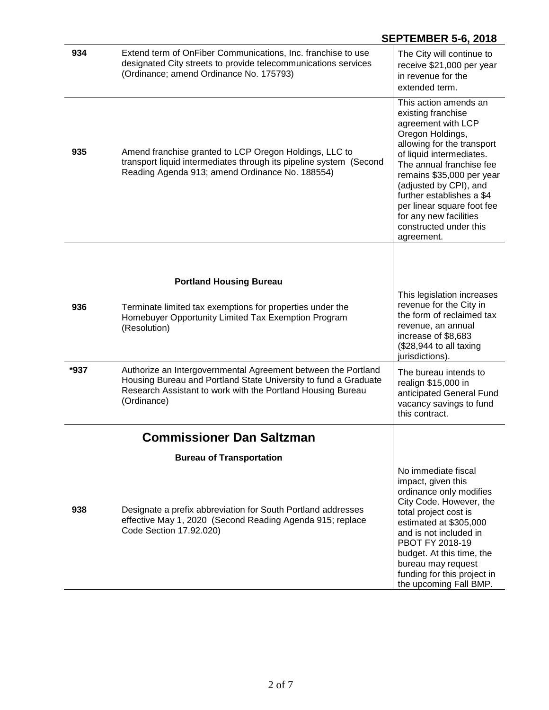|      |                                                                                                                                                                                                                | ULI ILMULIN JV, ZVIV                                                                                                                                                                                                                                                                                                                                            |
|------|----------------------------------------------------------------------------------------------------------------------------------------------------------------------------------------------------------------|-----------------------------------------------------------------------------------------------------------------------------------------------------------------------------------------------------------------------------------------------------------------------------------------------------------------------------------------------------------------|
| 934  | Extend term of OnFiber Communications, Inc. franchise to use<br>designated City streets to provide telecommunications services<br>(Ordinance; amend Ordinance No. 175793)                                      | The City will continue to<br>receive \$21,000 per year<br>in revenue for the<br>extended term.                                                                                                                                                                                                                                                                  |
| 935  | Amend franchise granted to LCP Oregon Holdings, LLC to<br>transport liquid intermediates through its pipeline system (Second<br>Reading Agenda 913; amend Ordinance No. 188554)                                | This action amends an<br>existing franchise<br>agreement with LCP<br>Oregon Holdings,<br>allowing for the transport<br>of liquid intermediates.<br>The annual franchise fee<br>remains \$35,000 per year<br>(adjusted by CPI), and<br>further establishes a \$4<br>per linear square foot fee<br>for any new facilities<br>constructed under this<br>agreement. |
|      |                                                                                                                                                                                                                |                                                                                                                                                                                                                                                                                                                                                                 |
|      | <b>Portland Housing Bureau</b>                                                                                                                                                                                 |                                                                                                                                                                                                                                                                                                                                                                 |
| 936  | Terminate limited tax exemptions for properties under the<br>Homebuyer Opportunity Limited Tax Exemption Program<br>(Resolution)                                                                               | This legislation increases<br>revenue for the City in<br>the form of reclaimed tax<br>revenue, an annual<br>increase of \$8,683<br>(\$28,944 to all taxing<br>jurisdictions).                                                                                                                                                                                   |
| *937 | Authorize an Intergovernmental Agreement between the Portland<br>Housing Bureau and Portland State University to fund a Graduate<br>Research Assistant to work with the Portland Housing Bureau<br>(Ordinance) | The bureau intends to<br>realign \$15,000 in<br>anticipated General Fund<br>vacancy savings to fund<br>this contract.                                                                                                                                                                                                                                           |
|      | <b>Commissioner Dan Saltzman</b>                                                                                                                                                                               |                                                                                                                                                                                                                                                                                                                                                                 |
|      | <b>Bureau of Transportation</b>                                                                                                                                                                                |                                                                                                                                                                                                                                                                                                                                                                 |
| 938  | Designate a prefix abbreviation for South Portland addresses<br>effective May 1, 2020 (Second Reading Agenda 915; replace<br>Code Section 17.92.020)                                                           | No immediate fiscal<br>impact, given this<br>ordinance only modifies<br>City Code. However, the<br>total project cost is<br>estimated at \$305,000<br>and is not included in<br>PBOT FY 2018-19<br>budget. At this time, the<br>bureau may request<br>funding for this project in<br>the upcoming Fall BMP.                                                     |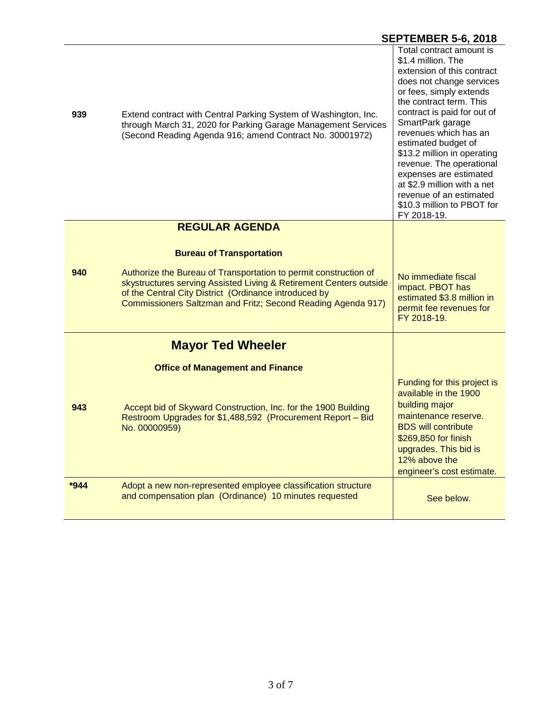| 939    | Extend contract with Central Parking System of Washington, Inc.<br>through March 31, 2020 for Parking Garage Management Services<br>(Second Reading Agenda 916; amend Contract No. 30001972)                                                                    | Total contract amount is<br>\$1.4 million. The<br>extension of this contract<br>does not change services<br>or fees, simply extends<br>the contract term. This<br>contract is paid for out of<br>SmartPark garage<br>revenues which has an<br>estimated budget of<br>\$13.2 million in operating<br>revenue. The operational<br>expenses are estimated<br>at \$2.9 million with a net<br>revenue of an estimated<br>\$10.3 million to PBOT for<br>FY 2018-19. |
|--------|-----------------------------------------------------------------------------------------------------------------------------------------------------------------------------------------------------------------------------------------------------------------|---------------------------------------------------------------------------------------------------------------------------------------------------------------------------------------------------------------------------------------------------------------------------------------------------------------------------------------------------------------------------------------------------------------------------------------------------------------|
|        | <b>REGULAR AGENDA</b>                                                                                                                                                                                                                                           |                                                                                                                                                                                                                                                                                                                                                                                                                                                               |
|        | <b>Bureau of Transportation</b>                                                                                                                                                                                                                                 |                                                                                                                                                                                                                                                                                                                                                                                                                                                               |
| 940    | Authorize the Bureau of Transportation to permit construction of<br>skystructures serving Assisted Living & Retirement Centers outside<br>of the Central City District (Ordinance introduced by<br>Commissioners Saltzman and Fritz; Second Reading Agenda 917) | No immediate fiscal<br>impact. PBOT has<br>estimated \$3.8 million in<br>permit fee revenues for<br>FY 2018-19.                                                                                                                                                                                                                                                                                                                                               |
|        | <b>Mayor Ted Wheeler</b>                                                                                                                                                                                                                                        |                                                                                                                                                                                                                                                                                                                                                                                                                                                               |
|        | <b>Office of Management and Finance</b>                                                                                                                                                                                                                         |                                                                                                                                                                                                                                                                                                                                                                                                                                                               |
| 943    | Accept bid of Skyward Construction, Inc. for the 1900 Building<br>Restroom Upgrades for \$1,488,592 (Procurement Report - Bid<br>No. 00000959)                                                                                                                  | Funding for this project is<br>available in the 1900<br>building major<br>maintenance reserve.<br><b>BDS</b> will contribute<br>\$269,850 for finish<br>upgrades. This bid is<br>12% above the<br>engineer's cost estimate.                                                                                                                                                                                                                                   |
| $*944$ | Adopt a new non-represented employee classification structure<br>and compensation plan (Ordinance) 10 minutes requested                                                                                                                                         | See below.                                                                                                                                                                                                                                                                                                                                                                                                                                                    |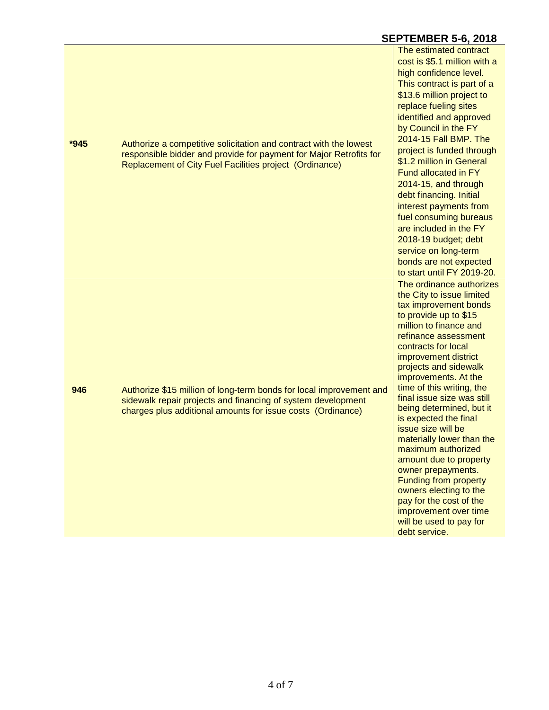| *945 | Authorize a competitive solicitation and contract with the lowest<br>responsible bidder and provide for payment for Major Retrofits for<br>Replacement of City Fuel Facilities project (Ordinance) | The estimated contract<br>cost is \$5.1 million with a<br>high confidence level.<br>This contract is part of a<br>\$13.6 million project to<br>replace fueling sites<br>identified and approved<br>by Council in the FY<br>2014-15 Fall BMP. The<br>project is funded through<br>\$1.2 million in General<br><b>Fund allocated in FY</b><br>2014-15, and through<br>debt financing. Initial<br>interest payments from<br>fuel consuming bureaus<br>are included in the FY<br>2018-19 budget; debt<br>service on long-term<br>bonds are not expected<br>to start until FY 2019-20.                                                                            |
|------|----------------------------------------------------------------------------------------------------------------------------------------------------------------------------------------------------|--------------------------------------------------------------------------------------------------------------------------------------------------------------------------------------------------------------------------------------------------------------------------------------------------------------------------------------------------------------------------------------------------------------------------------------------------------------------------------------------------------------------------------------------------------------------------------------------------------------------------------------------------------------|
| 946  | Authorize \$15 million of long-term bonds for local improvement and<br>sidewalk repair projects and financing of system development<br>charges plus additional amounts for issue costs (Ordinance) | The ordinance authorizes<br>the City to issue limited<br>tax improvement bonds<br>to provide up to \$15<br>million to finance and<br>refinance assessment<br>contracts for local<br>improvement district<br>projects and sidewalk<br>improvements. At the<br>time of this writing, the<br>final issue size was still<br>being determined, but it<br>is expected the final<br>issue size will be<br>materially lower than the<br>maximum authorized<br>amount due to property<br>owner prepayments.<br><b>Funding from property</b><br>owners electing to the<br>pay for the cost of the<br>improvement over time<br>will be used to pay for<br>debt service. |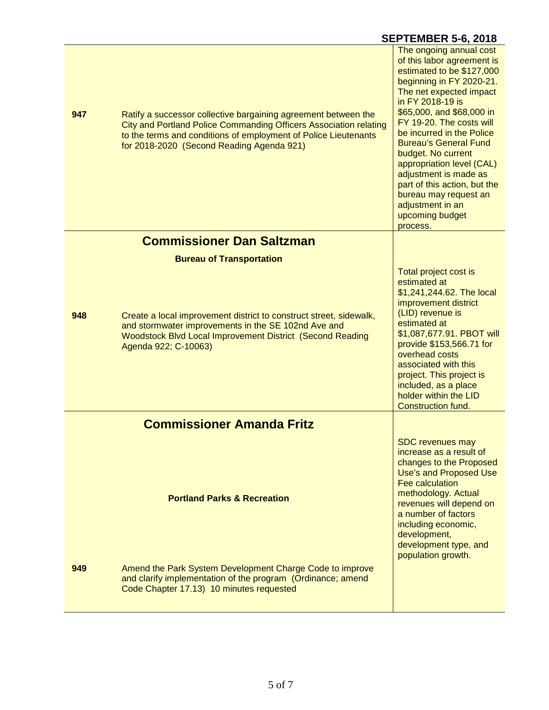| 947 | Ratify a successor collective bargaining agreement between the<br>City and Portland Police Commanding Officers Association relating<br>to the terms and conditions of employment of Police Lieutenants<br>for 2018-2020 (Second Reading Agenda 921) | The ongoing annual cost<br>of this labor agreement is<br>estimated to be \$127,000<br>beginning in FY 2020-21.<br>The net expected impact<br>in FY 2018-19 is<br>\$65,000, and \$68,000 in<br>FY 19-20. The costs will<br>be incurred in the Police<br><b>Bureau's General Fund</b><br>budget. No current<br>appropriation level (CAL)<br>adjustment is made as<br>part of this action, but the<br>bureau may request an<br>adjustment in an<br>upcoming budget<br>process. |
|-----|-----------------------------------------------------------------------------------------------------------------------------------------------------------------------------------------------------------------------------------------------------|-----------------------------------------------------------------------------------------------------------------------------------------------------------------------------------------------------------------------------------------------------------------------------------------------------------------------------------------------------------------------------------------------------------------------------------------------------------------------------|
|     | <b>Commissioner Dan Saltzman</b>                                                                                                                                                                                                                    |                                                                                                                                                                                                                                                                                                                                                                                                                                                                             |
|     | <b>Bureau of Transportation</b>                                                                                                                                                                                                                     |                                                                                                                                                                                                                                                                                                                                                                                                                                                                             |
| 948 | Create a local improvement district to construct street, sidewalk,<br>and stormwater improvements in the SE 102nd Ave and<br>Woodstock Blvd Local Improvement District (Second Reading<br>Agenda 922; C-10063)                                      | Total project cost is<br>estimated at<br>\$1,241,244.62. The local<br>improvement district<br>(LID) revenue is<br>estimated at<br>\$1,087,677.91. PBOT will<br>provide \$153,566.71 for<br>overhead costs<br>associated with this<br>project. This project is<br>included, as a place<br>holder within the LID<br><b>Construction fund.</b>                                                                                                                                 |
|     | <b>Commissioner Amanda Fritz</b>                                                                                                                                                                                                                    |                                                                                                                                                                                                                                                                                                                                                                                                                                                                             |
|     | <b>Portland Parks &amp; Recreation</b>                                                                                                                                                                                                              | <b>SDC</b> revenues may<br>increase as a result of<br>changes to the Proposed<br>Use's and Proposed Use<br>Fee calculation<br>methodology. Actual<br>revenues will depend on<br>a number of factors<br>including economic,<br>development,<br>development type, and<br>population growth.                                                                                                                                                                                   |
| 949 | Amend the Park System Development Charge Code to improve<br>and clarify implementation of the program (Ordinance; amend<br>Code Chapter 17.13) 10 minutes requested                                                                                 |                                                                                                                                                                                                                                                                                                                                                                                                                                                                             |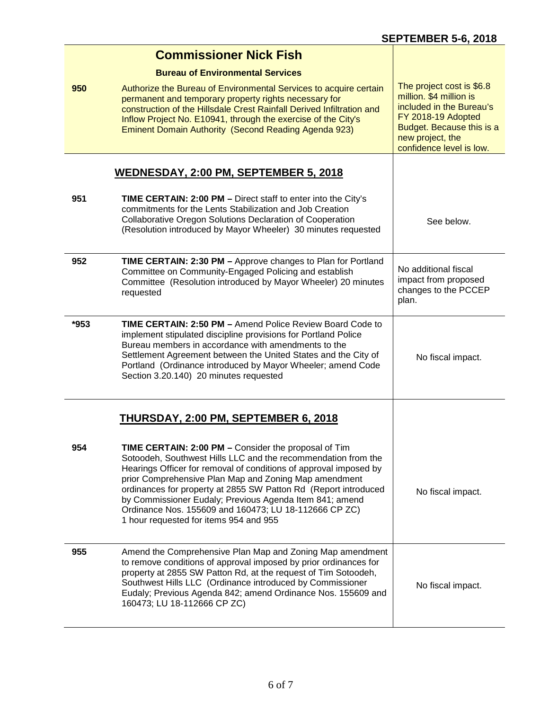|      | <b>Commissioner Nick Fish</b>                                                                                                                                                                                                                                                                                                                                                                                                                                                        |                                                                                                                                                                                     |
|------|--------------------------------------------------------------------------------------------------------------------------------------------------------------------------------------------------------------------------------------------------------------------------------------------------------------------------------------------------------------------------------------------------------------------------------------------------------------------------------------|-------------------------------------------------------------------------------------------------------------------------------------------------------------------------------------|
| 950  | <b>Bureau of Environmental Services</b><br>Authorize the Bureau of Environmental Services to acquire certain<br>permanent and temporary property rights necessary for<br>construction of the Hillsdale Crest Rainfall Derived Infiltration and<br>Inflow Project No. E10941, through the exercise of the City's<br>Eminent Domain Authority (Second Reading Agenda 923)                                                                                                              | The project cost is \$6.8<br>million. \$4 million is<br>included in the Bureau's<br>FY 2018-19 Adopted<br>Budget. Because this is a<br>new project, the<br>confidence level is low. |
|      | WEDNESDAY, 2:00 PM, SEPTEMBER 5, 2018                                                                                                                                                                                                                                                                                                                                                                                                                                                |                                                                                                                                                                                     |
| 951  | <b>TIME CERTAIN: 2:00 PM - Direct staff to enter into the City's</b><br>commitments for the Lents Stabilization and Job Creation<br>Collaborative Oregon Solutions Declaration of Cooperation<br>(Resolution introduced by Mayor Wheeler) 30 minutes requested                                                                                                                                                                                                                       | See below.                                                                                                                                                                          |
| 952  | TIME CERTAIN: 2:30 PM - Approve changes to Plan for Portland<br>Committee on Community-Engaged Policing and establish<br>Committee (Resolution introduced by Mayor Wheeler) 20 minutes<br>requested                                                                                                                                                                                                                                                                                  | No additional fiscal<br>impact from proposed<br>changes to the PCCEP<br>plan.                                                                                                       |
| *953 | <b>TIME CERTAIN: 2:50 PM - Amend Police Review Board Code to</b><br>implement stipulated discipline provisions for Portland Police<br>Bureau members in accordance with amendments to the<br>Settlement Agreement between the United States and the City of<br>Portland (Ordinance introduced by Mayor Wheeler; amend Code<br>Section 3.20.140) 20 minutes requested                                                                                                                 | No fiscal impact.                                                                                                                                                                   |
|      | <b>THURSDAY, 2:00 PM, SEPTEMBER 6, 2018</b>                                                                                                                                                                                                                                                                                                                                                                                                                                          |                                                                                                                                                                                     |
| 954  | TIME CERTAIN: 2:00 PM - Consider the proposal of Tim<br>Sotoodeh, Southwest Hills LLC and the recommendation from the<br>Hearings Officer for removal of conditions of approval imposed by<br>prior Comprehensive Plan Map and Zoning Map amendment<br>ordinances for property at 2855 SW Patton Rd (Report introduced<br>by Commissioner Eudaly; Previous Agenda Item 841; amend<br>Ordinance Nos. 155609 and 160473; LU 18-112666 CP ZC)<br>1 hour requested for items 954 and 955 | No fiscal impact.                                                                                                                                                                   |
| 955  | Amend the Comprehensive Plan Map and Zoning Map amendment<br>to remove conditions of approval imposed by prior ordinances for<br>property at 2855 SW Patton Rd, at the request of Tim Sotoodeh,<br>Southwest Hills LLC (Ordinance introduced by Commissioner<br>Eudaly; Previous Agenda 842; amend Ordinance Nos. 155609 and<br>160473; LU 18-112666 CP ZC)                                                                                                                          | No fiscal impact.                                                                                                                                                                   |